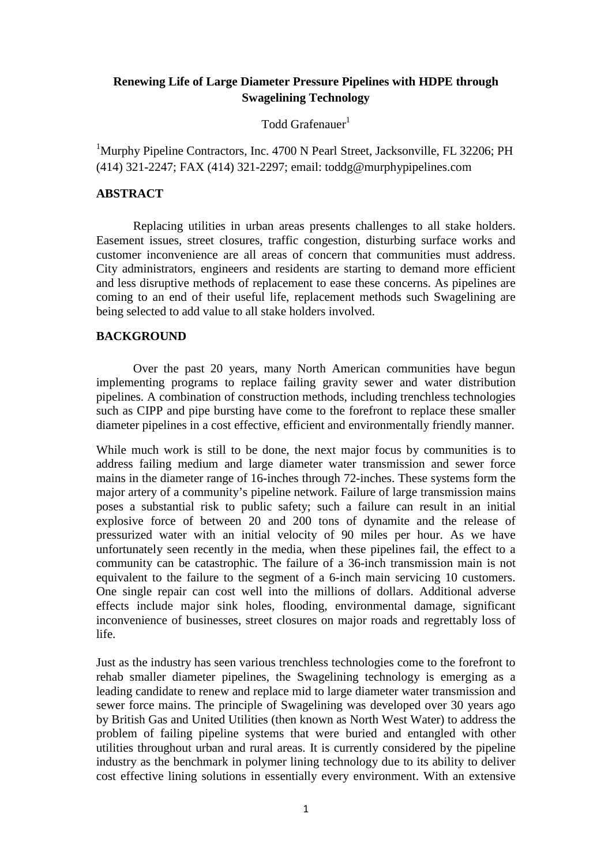## **Renewing Life of Large Diameter Pressure Pipelines with HDPE through Swagelining Technology**

 $\Gamma$ odd Grafenauer $^1$ 

<sup>1</sup>Murphy Pipeline Contractors, Inc. 4700 N Pearl Street, Jacksonville, FL 32206; PH (414) 321-2247; FAX (414) 321-2297; email: toddg@murphypipelines.com

### **ABSTRACT**

Replacing utilities in urban areas presents challenges to all stake holders. Easement issues, street closures, traffic congestion, disturbing surface works and customer inconvenience are all areas of concern that communities must address. City administrators, engineers and residents are starting to demand more efficient and less disruptive methods of replacement to ease these concerns. As pipelines are coming to an end of their useful life, replacement methods such Swagelining are being selected to add value to all stake holders involved.

### **BACKGROUND**

Over the past 20 years, many North American communities have begun implementing programs to replace failing gravity sewer and water distribution pipelines. A combination of construction methods, including trenchless technologies such as CIPP and pipe bursting have come to the forefront to replace these smaller diameter pipelines in a cost effective, efficient and environmentally friendly manner.

While much work is still to be done, the next major focus by communities is to address failing medium and large diameter water transmission and sewer force mains in the diameter range of 16-inches through 72-inches. These systems form the major artery of a community's pipeline network. Failure of large transmission mains poses a substantial risk to public safety; such a failure can result in an initial explosive force of between 20 and 200 tons of dynamite and the release of pressurized water with an initial velocity of 90 miles per hour. As we have unfortunately seen recently in the media, when these pipelines fail, the effect to a community can be catastrophic. The failure of a 36-inch transmission main is not equivalent to the failure to the segment of a 6-inch main servicing 10 customers. One single repair can cost well into the millions of dollars. Additional adverse effects include major sink holes, flooding, environmental damage, significant inconvenience of businesses, street closures on major roads and regrettably loss of life.

Just as the industry has seen various trenchless technologies come to the forefront to rehab smaller diameter pipelines, the Swagelining technology is emerging as a leading candidate to renew and replace mid to large diameter water transmission and sewer force mains. The principle of Swagelining was developed over 30 years ago by British Gas and United Utilities (then known as North West Water) to address the problem of failing pipeline systems that were buried and entangled with other utilities throughout urban and rural areas. It is currently considered by the pipeline industry as the benchmark in polymer lining technology due to its ability to deliver cost effective lining solutions in essentially every environment. With an extensive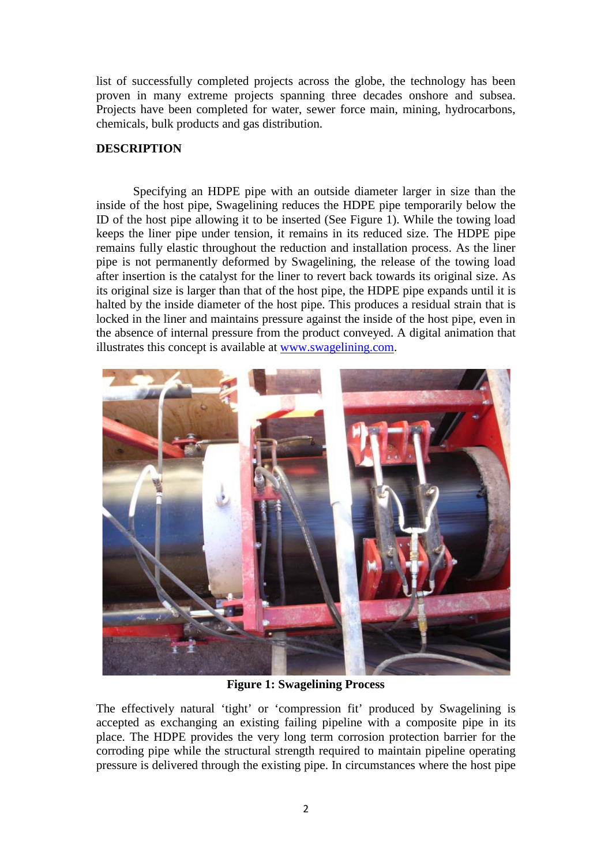list of successfully completed projects across the globe, the technology has been proven in many extreme projects spanning three decades onshore and subsea. Projects have been completed for water, sewer force main, mining, hydrocarbons, chemicals, bulk products and gas distribution.

# **DESCRIPTION**

Specifying an HDPE pipe with an outside diameter larger in size than the inside of the host pipe, Swagelining reduces the HDPE pipe temporarily below the ID of the host pipe allowing it to be inserted (See Figure 1). While the towing load keeps the liner pipe under tension, it remains in its reduced size. The HDPE pipe remains fully elastic throughout the reduction and installation process. As the liner pipe is not permanently deformed by Swagelining, the release of the towing load after insertion is the catalyst for the liner to revert back towards its original size. As its original size is larger than that of the host pipe, the HDPE pipe expands until it is halted by the inside diameter of the host pipe. This produces a residual strain that is locked in the liner and maintains pressure against the inside of the host pipe, even in the absence of internal pressure from the product conveyed. A digital animation that illustrates this concept is available at [www.swagelining.com.](http://www.swagelining.com/)



**Figure 1: Swagelining Process**

The effectively natural 'tight' or 'compression fit' produced by Swagelining is accepted as exchanging an existing failing pipeline with a composite pipe in its place. The HDPE provides the very long term corrosion protection barrier for the corroding pipe while the structural strength required to maintain pipeline operating pressure is delivered through the existing pipe. In circumstances where the host pipe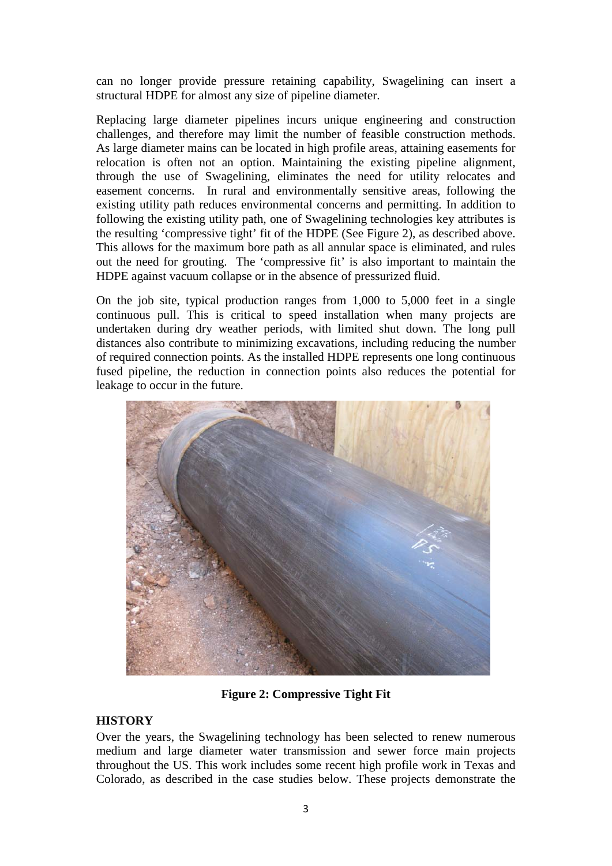can no longer provide pressure retaining capability, Swagelining can insert a structural HDPE for almost any size of pipeline diameter.

Replacing large diameter pipelines incurs unique engineering and construction challenges, and therefore may limit the number of feasible construction methods. As large diameter mains can be located in high profile areas, attaining easements for relocation is often not an option. Maintaining the existing pipeline alignment, through the use of Swagelining, eliminates the need for utility relocates and easement concerns. In rural and environmentally sensitive areas, following the existing utility path reduces environmental concerns and permitting. In addition to following the existing utility path, one of Swagelining technologies key attributes is the resulting 'compressive tight' fit of the HDPE (See Figure 2), as described above. This allows for the maximum bore path as all annular space is eliminated, and rules out the need for grouting. The 'compressive fit' is also important to maintain the HDPE against vacuum collapse or in the absence of pressurized fluid.

On the job site, typical production ranges from 1,000 to 5,000 feet in a single continuous pull. This is critical to speed installation when many projects are undertaken during dry weather periods, with limited shut down. The long pull distances also contribute to minimizing excavations, including reducing the number of required connection points. As the installed HDPE represents one long continuous fused pipeline, the reduction in connection points also reduces the potential for leakage to occur in the future.



**Figure 2: Compressive Tight Fit**

## **HISTORY**

Over the years, the Swagelining technology has been selected to renew numerous medium and large diameter water transmission and sewer force main projects throughout the US. This work includes some recent high profile work in Texas and Colorado, as described in the case studies below. These projects demonstrate the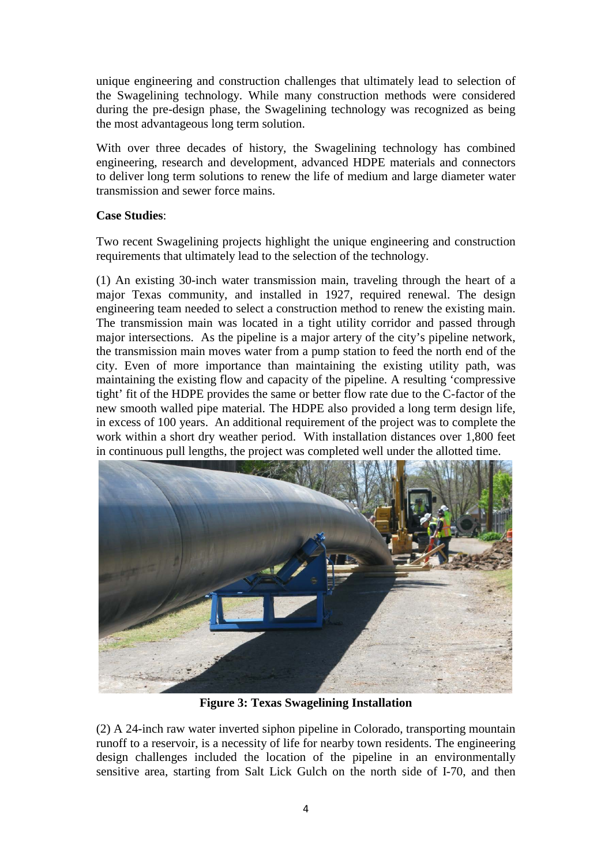unique engineering and construction challenges that ultimately lead to selection of the Swagelining technology. While many construction methods were considered during the pre-design phase, the Swagelining technology was recognized as being the most advantageous long term solution.

With over three decades of history, the Swagelining technology has combined engineering, research and development, advanced HDPE materials and connectors to deliver long term solutions to renew the life of medium and large diameter water transmission and sewer force mains.

# **Case Studies**:

Two recent Swagelining projects highlight the unique engineering and construction requirements that ultimately lead to the selection of the technology.

(1) An existing 30-inch water transmission main, traveling through the heart of a major Texas community, and installed in 1927, required renewal. The design engineering team needed to select a construction method to renew the existing main. The transmission main was located in a tight utility corridor and passed through major intersections. As the pipeline is a major artery of the city's pipeline network, the transmission main moves water from a pump station to feed the north end of the city. Even of more importance than maintaining the existing utility path, was maintaining the existing flow and capacity of the pipeline. A resulting 'compressive tight' fit of the HDPE provides the same or better flow rate due to the C-factor of the new smooth walled pipe material. The HDPE also provided a long term design life, in excess of 100 years. An additional requirement of the project was to complete the work within a short dry weather period. With installation distances over 1,800 feet in continuous pull lengths, the project was completed well under the allotted time.



**Figure 3: Texas Swagelining Installation**

(2) A 24-inch raw water inverted siphon pipeline in Colorado, transporting mountain runoff to a reservoir, is a necessity of life for nearby town residents. The engineering design challenges included the location of the pipeline in an environmentally sensitive area, starting from Salt Lick Gulch on the north side of I-70, and then